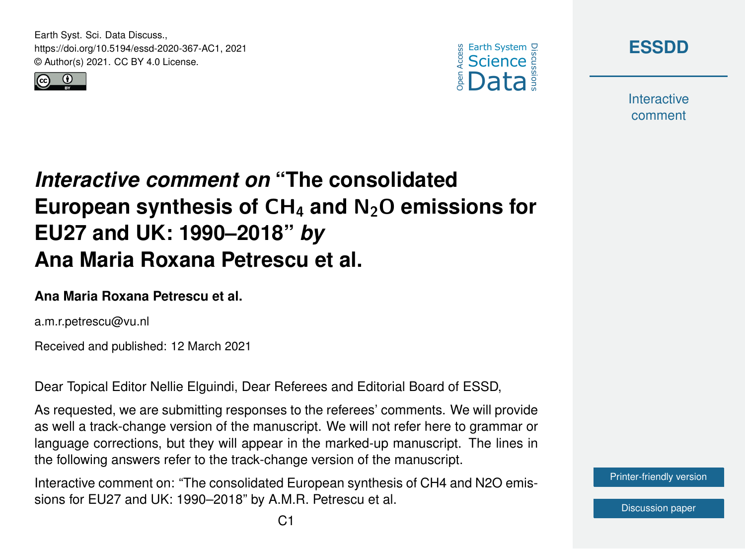Earth Syst. Sci. Data Discuss., https://doi.org/10.5194/essd-2020-367-AC1, 2021 © Author(s) 2021. CC BY 4.0 License.







**Interactive** comment

# *Interactive comment on* **"The consolidated European synthesis of** CH<sup>4</sup> **and** N2O **emissions for EU27 and UK: 1990–2018"** *by* **Ana Maria Roxana Petrescu et al.**

#### **Ana Maria Roxana Petrescu et al.**

a.m.r.petrescu@vu.nl

Received and published: 12 March 2021

Dear Topical Editor Nellie Elguindi, Dear Referees and Editorial Board of ESSD,

As requested, we are submitting responses to the referees' comments. We will provide as well a track-change version of the manuscript. We will not refer here to grammar or language corrections, but they will appear in the marked-up manuscript. The lines in the following answers refer to the track-change version of the manuscript.

Interactive comment on: "The consolidated European synthesis of CH4 and N2O emissions for EU27 and UK: 1990–2018" by A.M.R. Petrescu et al.

[Printer-friendly version](https://essd.copernicus.org/preprints/essd-2020-367/essd-2020-367-AC1-print.pdf)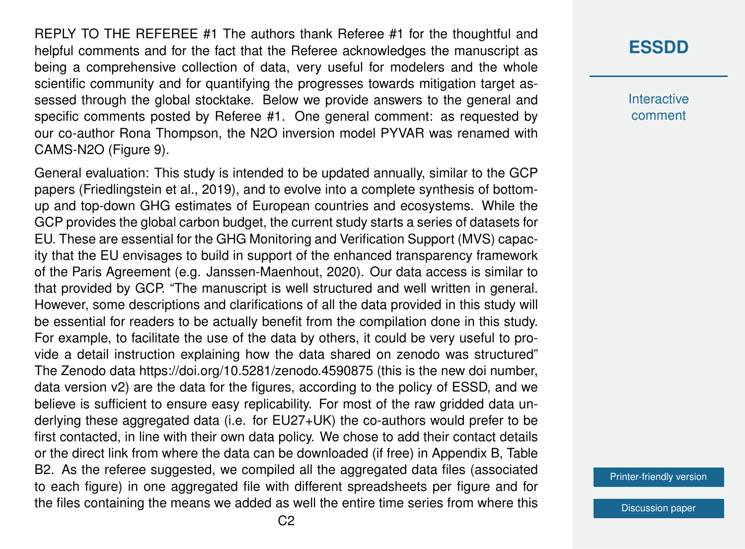REPLY TO THE REFEREE #1 The authors thank Referee #1 for the thoughtful and helpful comments and for the fact that the Referee acknowledges the manuscript as being a comprehensive collection of data, very useful for modelers and the whole scientific community and for quantifying the progresses towards mitigation target assessed through the global stocktake. Below we provide answers to the general and specific comments posted by Referee #1. One general comment: as requested by our co-author Rona Thompson, the N2O inversion model PYVAR was renamed with CAMS-N2O (Figure 9).

General evaluation: This study is intended to be updated annually, similar to the GCP papers (Friedlingstein et al., 2019), and to evolve into a complete synthesis of bottomup and top-down GHG estimates of European countries and ecosystems. While the GCP provides the global carbon budget, the current study starts a series of datasets for EU. These are essential for the GHG Monitoring and Verification Support (MVS) capacity that the EU envisages to build in support of the enhanced transparency framework of the Paris Agreement (e.g. Janssen-Maenhout, 2020). Our data access is similar to that provided by GCP. "The manuscript is well structured and well written in general. However, some descriptions and clarifications of all the data provided in this study will be essential for readers to be actually benefit from the compilation done in this study. For example, to facilitate the use of the data by others, it could be very useful to provide a detail instruction explaining how the data shared on zenodo was structured" The Zenodo data https://doi.org/10.5281/zenodo.4590875 (this is the new doi number, data version v2) are the data for the figures, according to the policy of ESSD, and we believe is sufficient to ensure easy replicability. For most of the raw gridded data underlying these aggregated data (i.e. for EU27+UK) the co-authors would prefer to be first contacted, in line with their own data policy. We chose to add their contact details or the direct link from where the data can be downloaded (if free) in Appendix B, Table B2. As the referee suggested, we compiled all the aggregated data files (associated to each figure) in one aggregated file with different spreadsheets per figure and for the files containing the means we added as well the entire time series from where this

#### **[ESSDD](https://essd.copernicus.org/preprints/)**

**Interactive** comment

[Printer-friendly version](https://essd.copernicus.org/preprints/essd-2020-367/essd-2020-367-AC1-print.pdf)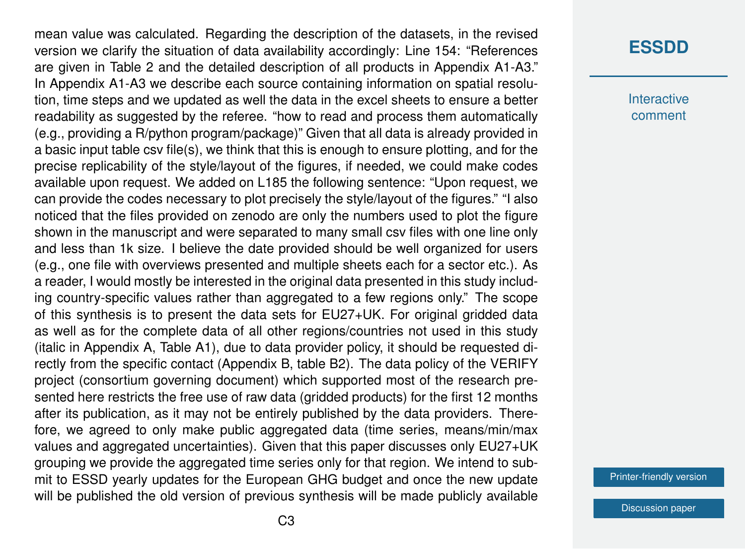mean value was calculated. Regarding the description of the datasets, in the revised version we clarify the situation of data availability accordingly: Line 154: "References are given in Table 2 and the detailed description of all products in Appendix A1-A3." In Appendix A1-A3 we describe each source containing information on spatial resolution, time steps and we updated as well the data in the excel sheets to ensure a better readability as suggested by the referee. "how to read and process them automatically (e.g., providing a R/python program/package)" Given that all data is already provided in a basic input table csv file(s), we think that this is enough to ensure plotting, and for the precise replicability of the style/layout of the figures, if needed, we could make codes available upon request. We added on L185 the following sentence: "Upon request, we can provide the codes necessary to plot precisely the style/layout of the figures." "I also noticed that the files provided on zenodo are only the numbers used to plot the figure shown in the manuscript and were separated to many small csv files with one line only and less than 1k size. I believe the date provided should be well organized for users (e.g., one file with overviews presented and multiple sheets each for a sector etc.). As a reader, I would mostly be interested in the original data presented in this study including country-specific values rather than aggregated to a few regions only." The scope of this synthesis is to present the data sets for EU27+UK. For original gridded data as well as for the complete data of all other regions/countries not used in this study (italic in Appendix A, Table A1), due to data provider policy, it should be requested directly from the specific contact (Appendix B, table B2). The data policy of the VERIFY project (consortium governing document) which supported most of the research presented here restricts the free use of raw data (gridded products) for the first 12 months after its publication, as it may not be entirely published by the data providers. Therefore, we agreed to only make public aggregated data (time series, means/min/max values and aggregated uncertainties). Given that this paper discusses only EU27+UK grouping we provide the aggregated time series only for that region. We intend to submit to ESSD yearly updates for the European GHG budget and once the new update will be published the old version of previous synthesis will be made publicly available

#### **[ESSDD](https://essd.copernicus.org/preprints/)**

**Interactive** comment

[Printer-friendly version](https://essd.copernicus.org/preprints/essd-2020-367/essd-2020-367-AC1-print.pdf)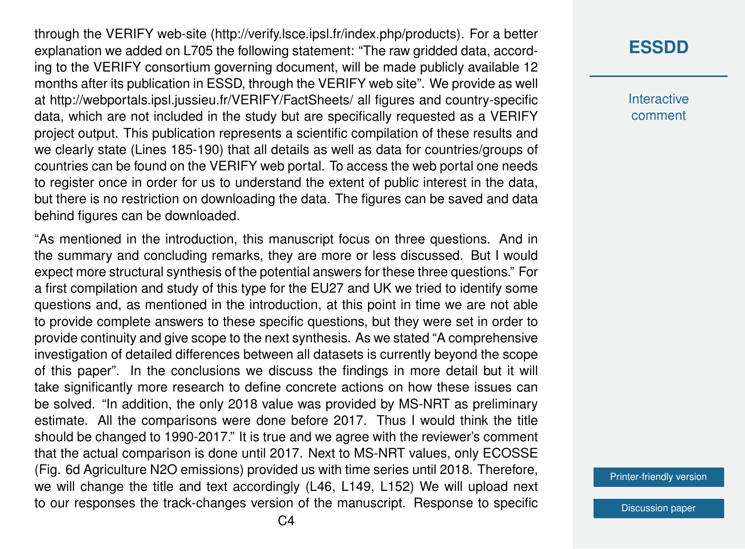through the VERIFY web-site (http://verify.lsce.ipsl.fr/index.php/products). For a better explanation we added on L705 the following statement: "The raw gridded data, according to the VERIFY consortium governing document, will be made publicly available 12 months after its publication in ESSD, through the VERIFY web site". We provide as well at http://webportals.ipsl.jussieu.fr/VERIFY/FactSheets/ all figures and country-specific data, which are not included in the study but are specifically requested as a VERIFY project output. This publication represents a scientific compilation of these results and we clearly state (Lines 185-190) that all details as well as data for countries/groups of countries can be found on the VERIFY web portal. To access the web portal one needs to register once in order for us to understand the extent of public interest in the data, but there is no restriction on downloading the data. The figures can be saved and data behind figures can be downloaded.

"As mentioned in the introduction, this manuscript focus on three questions. And in the summary and concluding remarks, they are more or less discussed. But I would expect more structural synthesis of the potential answers for these three questions." For a first compilation and study of this type for the EU27 and UK we tried to identify some questions and, as mentioned in the introduction, at this point in time we are not able to provide complete answers to these specific questions, but they were set in order to provide continuity and give scope to the next synthesis. As we stated "A comprehensive investigation of detailed differences between all datasets is currently beyond the scope of this paper". In the conclusions we discuss the findings in more detail but it will take significantly more research to define concrete actions on how these issues can be solved. "In addition, the only 2018 value was provided by MS-NRT as preliminary estimate. All the comparisons were done before 2017. Thus I would think the title should be changed to 1990-2017." It is true and we agree with the reviewer's comment that the actual comparison is done until 2017. Next to MS-NRT values, only ECOSSE (Fig. 6d Agriculture N2O emissions) provided us with time series until 2018. Therefore, we will change the title and text accordingly (L46, L149, L152) We will upload next to our responses the track-changes version of the manuscript. Response to specific

**Interactive** comment

[Printer-friendly version](https://essd.copernicus.org/preprints/essd-2020-367/essd-2020-367-AC1-print.pdf)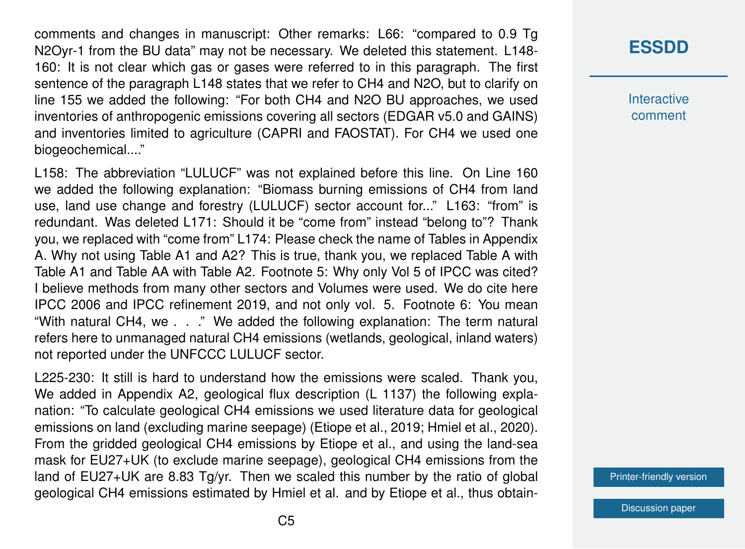comments and changes in manuscript: Other remarks: L66: "compared to 0.9 Tg N2Oyr-1 from the BU data" may not be necessary. We deleted this statement. L148- 160: It is not clear which gas or gases were referred to in this paragraph. The first sentence of the paragraph L148 states that we refer to CH4 and N2O, but to clarify on line 155 we added the following: "For both CH4 and N2O BU approaches, we used inventories of anthropogenic emissions covering all sectors (EDGAR v5.0 and GAINS) and inventories limited to agriculture (CAPRI and FAOSTAT). For CH4 we used one biogeochemical...."

L158: The abbreviation "LULUCF" was not explained before this line. On Line 160 we added the following explanation: "Biomass burning emissions of CH4 from land use, land use change and forestry (LULUCF) sector account for..." L163: "from" is redundant. Was deleted L171: Should it be "come from" instead "belong to"? Thank you, we replaced with "come from" L174: Please check the name of Tables in Appendix A. Why not using Table A1 and A2? This is true, thank you, we replaced Table A with Table A1 and Table AA with Table A2. Footnote 5: Why only Vol 5 of IPCC was cited? I believe methods from many other sectors and Volumes were used. We do cite here IPCC 2006 and IPCC refinement 2019, and not only vol. 5. Footnote 6: You mean "With natural CH4, we . . ." We added the following explanation: The term natural refers here to unmanaged natural CH4 emissions (wetlands, geological, inland waters) not reported under the UNFCCC LULUCF sector.

L225-230: It still is hard to understand how the emissions were scaled. Thank you, We added in Appendix A2, geological flux description (L 1137) the following explanation: "To calculate geological CH4 emissions we used literature data for geological emissions on land (excluding marine seepage) (Etiope et al., 2019; Hmiel et al., 2020). From the gridded geological CH4 emissions by Etiope et al., and using the land-sea mask for EU27+UK (to exclude marine seepage), geological CH4 emissions from the land of  $EU27+UK$  are 8.83 Tg/yr. Then we scaled this number by the ratio of global geological CH4 emissions estimated by Hmiel et al. and by Etiope et al., thus obtain-

## **[ESSDD](https://essd.copernicus.org/preprints/)**

**Interactive** comment

[Printer-friendly version](https://essd.copernicus.org/preprints/essd-2020-367/essd-2020-367-AC1-print.pdf)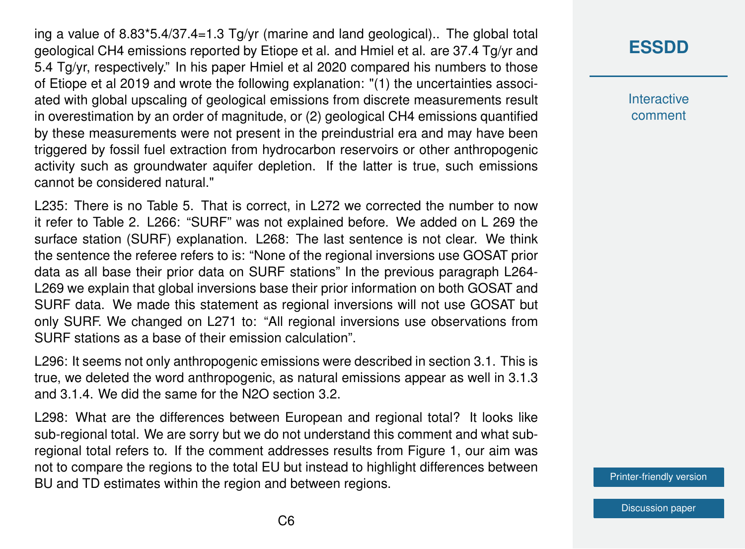ing a value of 8.83\*5.4/37.4=1.3 Tg/yr (marine and land geological).. The global total geological CH4 emissions reported by Etiope et al. and Hmiel et al. are 37.4 Tg/yr and 5.4 Tg/yr, respectively." In his paper Hmiel et al 2020 compared his numbers to those of Etiope et al 2019 and wrote the following explanation: "(1) the uncertainties associated with global upscaling of geological emissions from discrete measurements result in overestimation by an order of magnitude, or (2) geological CH4 emissions quantified by these measurements were not present in the preindustrial era and may have been triggered by fossil fuel extraction from hydrocarbon reservoirs or other anthropogenic activity such as groundwater aquifer depletion. If the latter is true, such emissions cannot be considered natural."

L235: There is no Table 5. That is correct, in L272 we corrected the number to now it refer to Table 2. L266: "SURF" was not explained before. We added on L 269 the surface station (SURF) explanation. L268: The last sentence is not clear. We think the sentence the referee refers to is: "None of the regional inversions use GOSAT prior data as all base their prior data on SURF stations" In the previous paragraph L264- L269 we explain that global inversions base their prior information on both GOSAT and SURF data. We made this statement as regional inversions will not use GOSAT but only SURF. We changed on L271 to: "All regional inversions use observations from SURF stations as a base of their emission calculation".

L296: It seems not only anthropogenic emissions were described in section 3.1. This is true, we deleted the word anthropogenic, as natural emissions appear as well in 3.1.3 and 3.1.4. We did the same for the N2O section 3.2.

L298: What are the differences between European and regional total? It looks like sub-regional total. We are sorry but we do not understand this comment and what subregional total refers to. If the comment addresses results from Figure 1, our aim was not to compare the regions to the total EU but instead to highlight differences between BU and TD estimates within the region and between regions.

# **[ESSDD](https://essd.copernicus.org/preprints/)**

**Interactive** comment

[Printer-friendly version](https://essd.copernicus.org/preprints/essd-2020-367/essd-2020-367-AC1-print.pdf)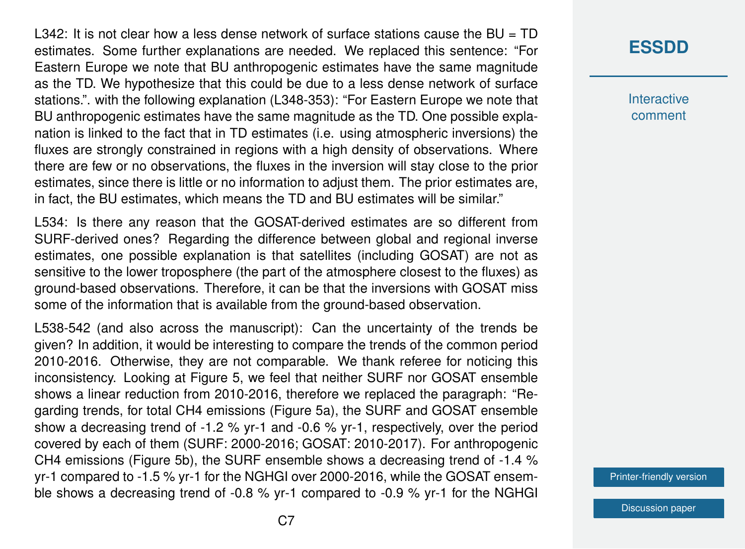$\text{L}342$ : It is not clear how a less dense network of surface stations cause the BU = TD estimates. Some further explanations are needed. We replaced this sentence: "For Eastern Europe we note that BU anthropogenic estimates have the same magnitude as the TD. We hypothesize that this could be due to a less dense network of surface stations.". with the following explanation (L348-353): "For Eastern Europe we note that BU anthropogenic estimates have the same magnitude as the TD. One possible explanation is linked to the fact that in TD estimates (i.e. using atmospheric inversions) the fluxes are strongly constrained in regions with a high density of observations. Where there are few or no observations, the fluxes in the inversion will stay close to the prior estimates, since there is little or no information to adjust them. The prior estimates are, in fact, the BU estimates, which means the TD and BU estimates will be similar."

L534: Is there any reason that the GOSAT-derived estimates are so different from SURF-derived ones? Regarding the difference between global and regional inverse estimates, one possible explanation is that satellites (including GOSAT) are not as sensitive to the lower troposphere (the part of the atmosphere closest to the fluxes) as ground-based observations. Therefore, it can be that the inversions with GOSAT miss some of the information that is available from the ground-based observation.

L538-542 (and also across the manuscript): Can the uncertainty of the trends be given? In addition, it would be interesting to compare the trends of the common period 2010-2016. Otherwise, they are not comparable. We thank referee for noticing this inconsistency. Looking at Figure 5, we feel that neither SURF nor GOSAT ensemble shows a linear reduction from 2010-2016, therefore we replaced the paragraph: "Regarding trends, for total CH4 emissions (Figure 5a), the SURF and GOSAT ensemble show a decreasing trend of -1.2 % yr-1 and -0.6 % yr-1, respectively, over the period covered by each of them (SURF: 2000-2016; GOSAT: 2010-2017). For anthropogenic CH4 emissions (Figure 5b), the SURF ensemble shows a decreasing trend of -1.4 % yr-1 compared to -1.5 % yr-1 for the NGHGI over 2000-2016, while the GOSAT ensemble shows a decreasing trend of -0.8 % yr-1 compared to -0.9 % yr-1 for the NGHGI **Interactive** comment

[Printer-friendly version](https://essd.copernicus.org/preprints/essd-2020-367/essd-2020-367-AC1-print.pdf)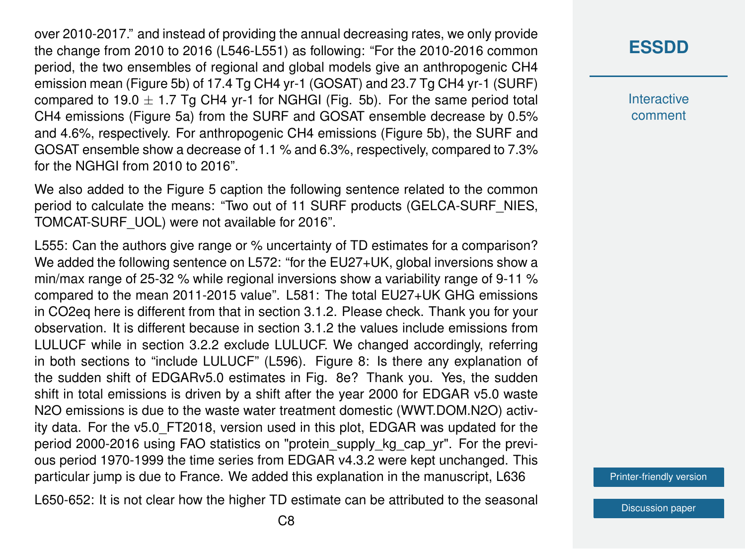over 2010-2017." and instead of providing the annual decreasing rates, we only provide the change from 2010 to 2016 (L546-L551) as following: "For the 2010-2016 common period, the two ensembles of regional and global models give an anthropogenic CH4 emission mean (Figure 5b) of 17.4 Tg CH4 yr-1 (GOSAT) and 23.7 Tg CH4 yr-1 (SURF) compared to 19.0  $\pm$  1.7 Tg CH4 yr-1 for NGHGI (Fig. 5b). For the same period total CH4 emissions (Figure 5a) from the SURF and GOSAT ensemble decrease by 0.5% and 4.6%, respectively. For anthropogenic CH4 emissions (Figure 5b), the SURF and GOSAT ensemble show a decrease of 1.1 % and 6.3%, respectively, compared to 7.3% for the NGHGI from 2010 to 2016".

We also added to the Figure 5 caption the following sentence related to the common period to calculate the means: "Two out of 11 SURF products (GELCA-SURF\_NIES, TOMCAT-SURF\_UOL) were not available for 2016".

L555: Can the authors give range or % uncertainty of TD estimates for a comparison? We added the following sentence on L572: "for the EU27+UK, global inversions show a min/max range of 25-32 % while regional inversions show a variability range of 9-11 % compared to the mean 2011-2015 value". L581: The total EU27+UK GHG emissions in CO2eq here is different from that in section 3.1.2. Please check. Thank you for your observation. It is different because in section 3.1.2 the values include emissions from LULUCF while in section 3.2.2 exclude LULUCF. We changed accordingly, referring in both sections to "include LULUCF" (L596). Figure 8: Is there any explanation of the sudden shift of EDGARv5.0 estimates in Fig. 8e? Thank you. Yes, the sudden shift in total emissions is driven by a shift after the year 2000 for EDGAR v5.0 waste N2O emissions is due to the waste water treatment domestic (WWT.DOM.N2O) activity data. For the v5.0\_FT2018, version used in this plot, EDGAR was updated for the period 2000-2016 using FAO statistics on "protein supply kg cap yr". For the previous period 1970-1999 the time series from EDGAR v4.3.2 were kept unchanged. This particular jump is due to France. We added this explanation in the manuscript, L636

L650-652: It is not clear how the higher TD estimate can be attributed to the seasonal

**[ESSDD](https://essd.copernicus.org/preprints/)**

**Interactive** comment

[Printer-friendly version](https://essd.copernicus.org/preprints/essd-2020-367/essd-2020-367-AC1-print.pdf)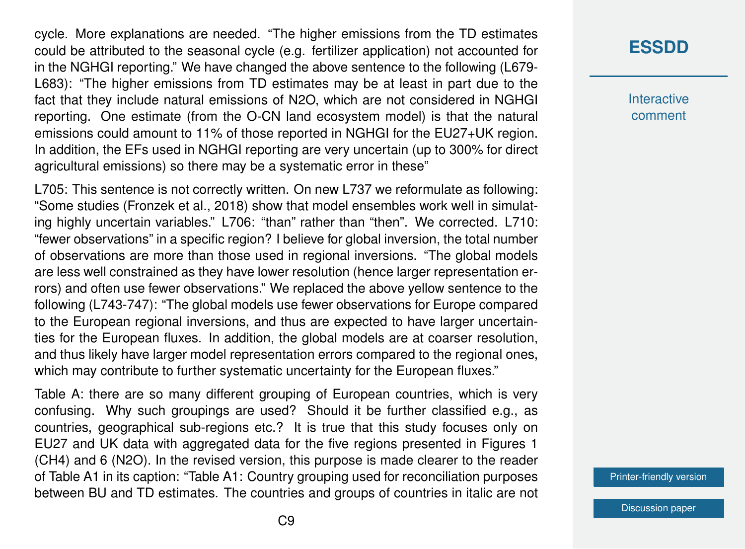cycle. More explanations are needed. "The higher emissions from the TD estimates could be attributed to the seasonal cycle (e.g. fertilizer application) not accounted for in the NGHGI reporting." We have changed the above sentence to the following (L679- L683): "The higher emissions from TD estimates may be at least in part due to the fact that they include natural emissions of N2O, which are not considered in NGHGI reporting. One estimate (from the O-CN land ecosystem model) is that the natural emissions could amount to 11% of those reported in NGHGI for the EU27+UK region. In addition, the EFs used in NGHGI reporting are very uncertain (up to 300% for direct agricultural emissions) so there may be a systematic error in these"

L705: This sentence is not correctly written. On new L737 we reformulate as following: "Some studies (Fronzek et al., 2018) show that model ensembles work well in simulating highly uncertain variables." L706: "than" rather than "then". We corrected. L710: "fewer observations" in a specific region? I believe for global inversion, the total number of observations are more than those used in regional inversions. "The global models are less well constrained as they have lower resolution (hence larger representation errors) and often use fewer observations." We replaced the above yellow sentence to the following (L743-747): "The global models use fewer observations for Europe compared to the European regional inversions, and thus are expected to have larger uncertainties for the European fluxes. In addition, the global models are at coarser resolution, and thus likely have larger model representation errors compared to the regional ones, which may contribute to further systematic uncertainty for the European fluxes."

Table A: there are so many different grouping of European countries, which is very confusing. Why such groupings are used? Should it be further classified e.g., as countries, geographical sub-regions etc.? It is true that this study focuses only on EU27 and UK data with aggregated data for the five regions presented in Figures 1 (CH4) and 6 (N2O). In the revised version, this purpose is made clearer to the reader of Table A1 in its caption: "Table A1: Country grouping used for reconciliation purposes between BU and TD estimates. The countries and groups of countries in italic are not

### **[ESSDD](https://essd.copernicus.org/preprints/)**

**Interactive** comment

[Printer-friendly version](https://essd.copernicus.org/preprints/essd-2020-367/essd-2020-367-AC1-print.pdf)